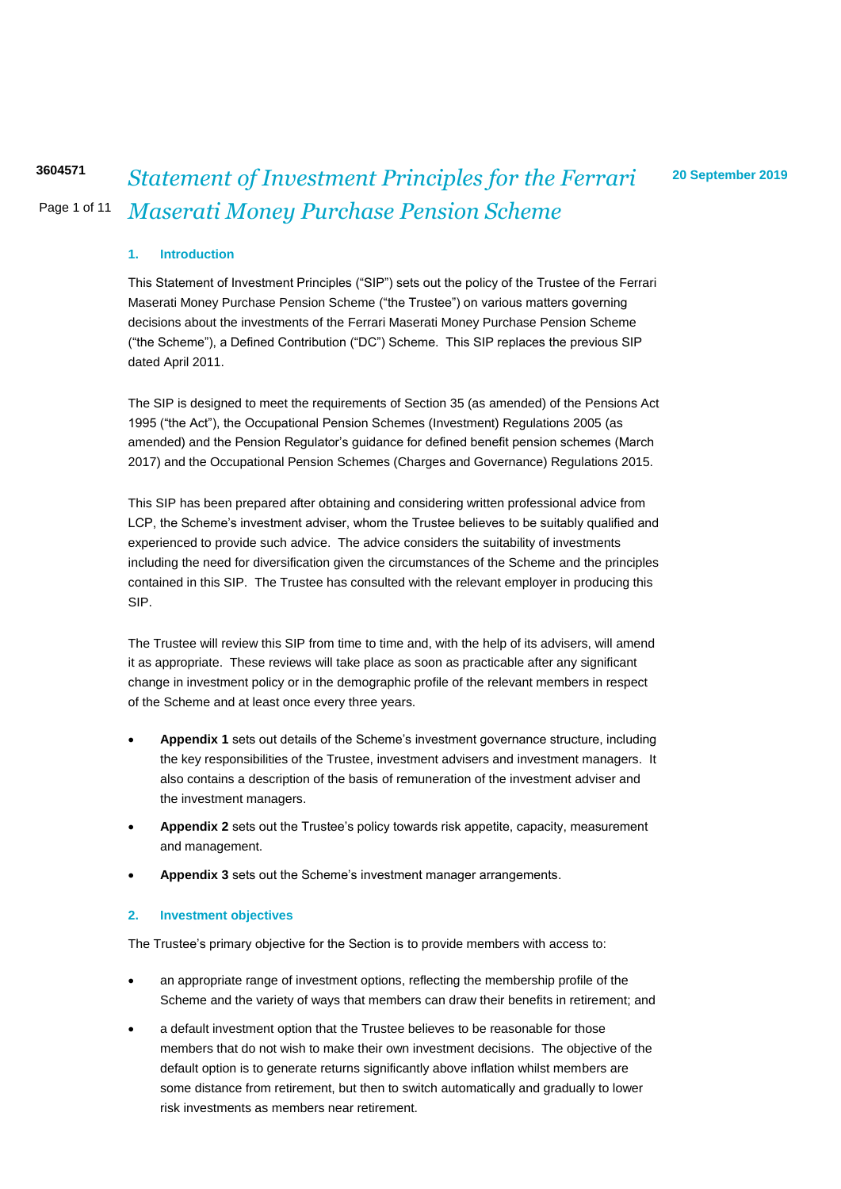## Page 1 of 11 **20 September 2019 <sup>3604571</sup>** *Statement of Investment Principles for the Ferrari Maserati Money Purchase Pension Scheme*

## **1. Introduction**

This Statement of Investment Principles ("SIP") sets out the policy of the Trustee of the Ferrari Maserati Money Purchase Pension Scheme ("the Trustee") on various matters governing decisions about the investments of the Ferrari Maserati Money Purchase Pension Scheme ("the Scheme"), a Defined Contribution ("DC") Scheme. This SIP replaces the previous SIP dated April 2011.

The SIP is designed to meet the requirements of Section 35 (as amended) of the Pensions Act 1995 ("the Act"), the Occupational Pension Schemes (Investment) Regulations 2005 (as amended) and the Pension Regulator's guidance for defined benefit pension schemes (March 2017) and the Occupational Pension Schemes (Charges and Governance) Regulations 2015.

This SIP has been prepared after obtaining and considering written professional advice from LCP, the Scheme's investment adviser, whom the Trustee believes to be suitably qualified and experienced to provide such advice. The advice considers the suitability of investments including the need for diversification given the circumstances of the Scheme and the principles contained in this SIP. The Trustee has consulted with the relevant employer in producing this SIP.

The Trustee will review this SIP from time to time and, with the help of its advisers, will amend it as appropriate. These reviews will take place as soon as practicable after any significant change in investment policy or in the demographic profile of the relevant members in respect of the Scheme and at least once every three years.

- **Appendix 1** sets out details of the Scheme's investment governance structure, including the key responsibilities of the Trustee, investment advisers and investment managers. It also contains a description of the basis of remuneration of the investment adviser and the investment managers.
- **Appendix 2** sets out the Trustee's policy towards risk appetite, capacity, measurement and management.
- **Appendix 3** sets out the Scheme's investment manager arrangements.

#### **2. Investment objectives**

The Trustee's primary objective for the Section is to provide members with access to:

- an appropriate range of investment options, reflecting the membership profile of the Scheme and the variety of ways that members can draw their benefits in retirement; and
- a default investment option that the Trustee believes to be reasonable for those members that do not wish to make their own investment decisions. The objective of the default option is to generate returns significantly above inflation whilst members are some distance from retirement, but then to switch automatically and gradually to lower risk investments as members near retirement.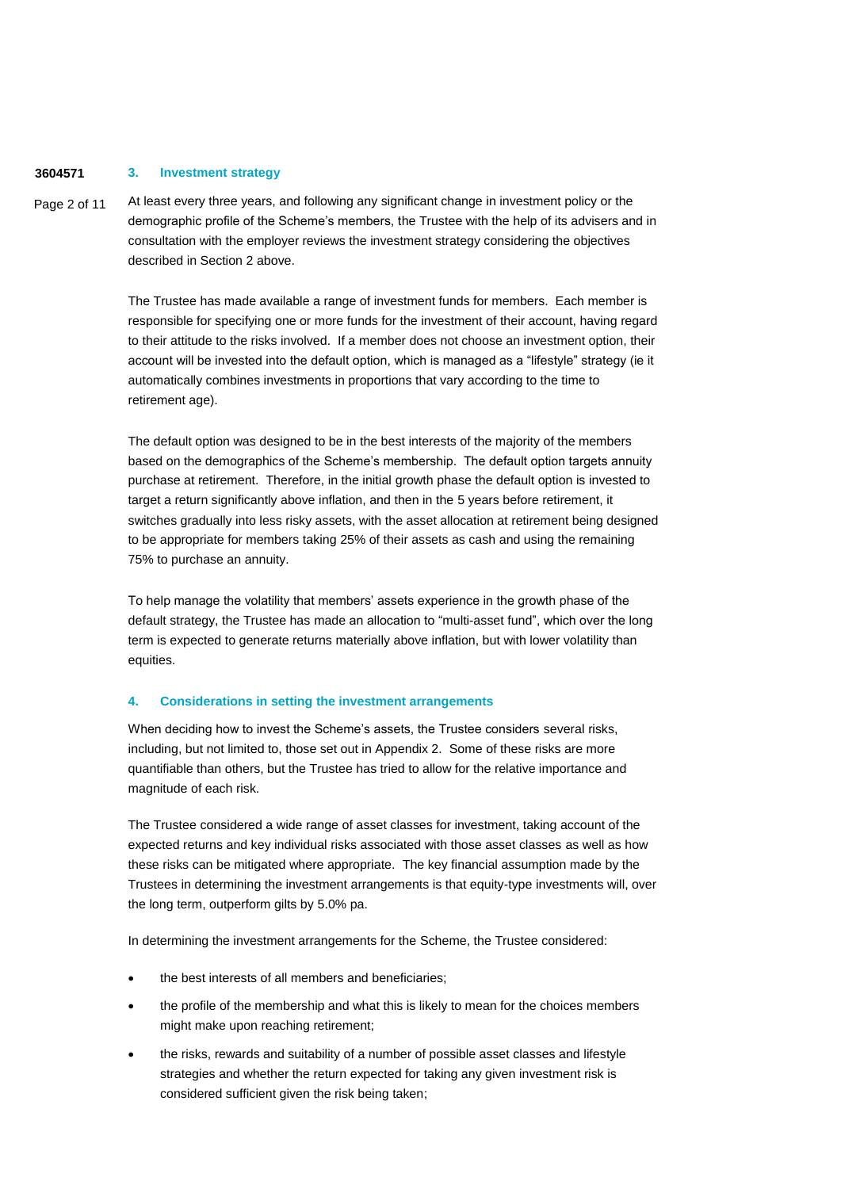#### **3604571 3. Investment strategy**

Page 2 of 11 At least every three years, and following any significant change in investment policy or the demographic profile of the Scheme's members, the Trustee with the help of its advisers and in consultation with the employer reviews the investment strategy considering the objectives described in Section 2 above.

> The Trustee has made available a range of investment funds for members. Each member is responsible for specifying one or more funds for the investment of their account, having regard to their attitude to the risks involved. If a member does not choose an investment option, their account will be invested into the default option, which is managed as a "lifestyle" strategy (ie it automatically combines investments in proportions that vary according to the time to retirement age).

> The default option was designed to be in the best interests of the majority of the members based on the demographics of the Scheme's membership. The default option targets annuity purchase at retirement. Therefore, in the initial growth phase the default option is invested to target a return significantly above inflation, and then in the 5 years before retirement, it switches gradually into less risky assets, with the asset allocation at retirement being designed to be appropriate for members taking 25% of their assets as cash and using the remaining 75% to purchase an annuity.

To help manage the volatility that members' assets experience in the growth phase of the default strategy, the Trustee has made an allocation to "multi-asset fund", which over the long term is expected to generate returns materially above inflation, but with lower volatility than equities.

#### **4. Considerations in setting the investment arrangements**

When deciding how to invest the Scheme's assets, the Trustee considers several risks, including, but not limited to, those set out in Appendix 2. Some of these risks are more quantifiable than others, but the Trustee has tried to allow for the relative importance and magnitude of each risk.

The Trustee considered a wide range of asset classes for investment, taking account of the expected returns and key individual risks associated with those asset classes as well as how these risks can be mitigated where appropriate. The key financial assumption made by the Trustees in determining the investment arrangements is that equity-type investments will, over the long term, outperform gilts by 5.0% pa.

In determining the investment arrangements for the Scheme, the Trustee considered:

- the best interests of all members and beneficiaries;
- the profile of the membership and what this is likely to mean for the choices members might make upon reaching retirement;
- the risks, rewards and suitability of a number of possible asset classes and lifestyle strategies and whether the return expected for taking any given investment risk is considered sufficient given the risk being taken;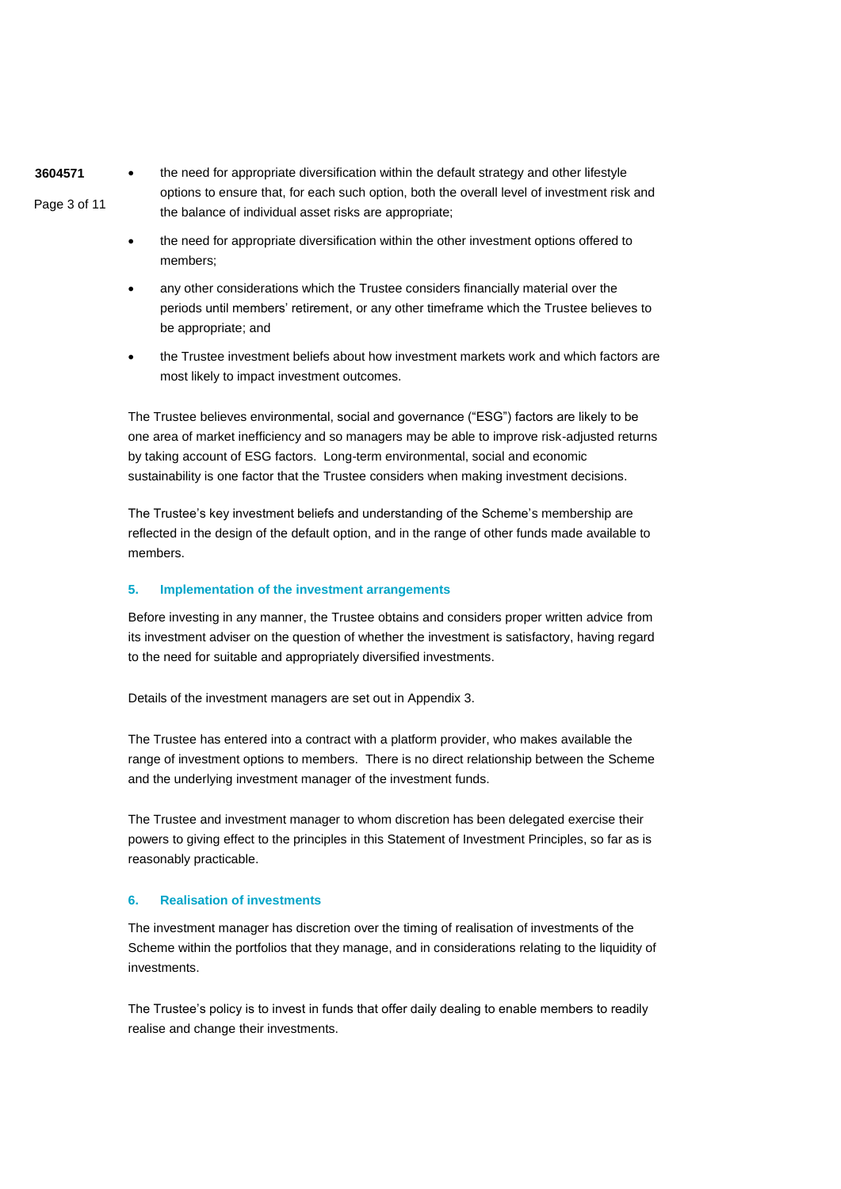- **3604571** Page 3 of 11 • the need for appropriate diversification within the default strategy and other lifestyle options to ensure that, for each such option, both the overall level of investment risk and the balance of individual asset risks are appropriate;
	- the need for appropriate diversification within the other investment options offered to members;
	- any other considerations which the Trustee considers financially material over the periods until members' retirement, or any other timeframe which the Trustee believes to be appropriate; and
	- the Trustee investment beliefs about how investment markets work and which factors are most likely to impact investment outcomes.

The Trustee believes environmental, social and governance ("ESG") factors are likely to be one area of market inefficiency and so managers may be able to improve risk-adjusted returns by taking account of ESG factors. Long-term environmental, social and economic sustainability is one factor that the Trustee considers when making investment decisions.

The Trustee's key investment beliefs and understanding of the Scheme's membership are reflected in the design of the default option, and in the range of other funds made available to members.

#### **5. Implementation of the investment arrangements**

Before investing in any manner, the Trustee obtains and considers proper written advice from its investment adviser on the question of whether the investment is satisfactory, having regard to the need for suitable and appropriately diversified investments.

Details of the investment managers are set out in Appendix 3.

The Trustee has entered into a contract with a platform provider, who makes available the range of investment options to members. There is no direct relationship between the Scheme and the underlying investment manager of the investment funds.

The Trustee and investment manager to whom discretion has been delegated exercise their powers to giving effect to the principles in this Statement of Investment Principles, so far as is reasonably practicable.

#### **6. Realisation of investments**

The investment manager has discretion over the timing of realisation of investments of the Scheme within the portfolios that they manage, and in considerations relating to the liquidity of investments.

The Trustee's policy is to invest in funds that offer daily dealing to enable members to readily realise and change their investments.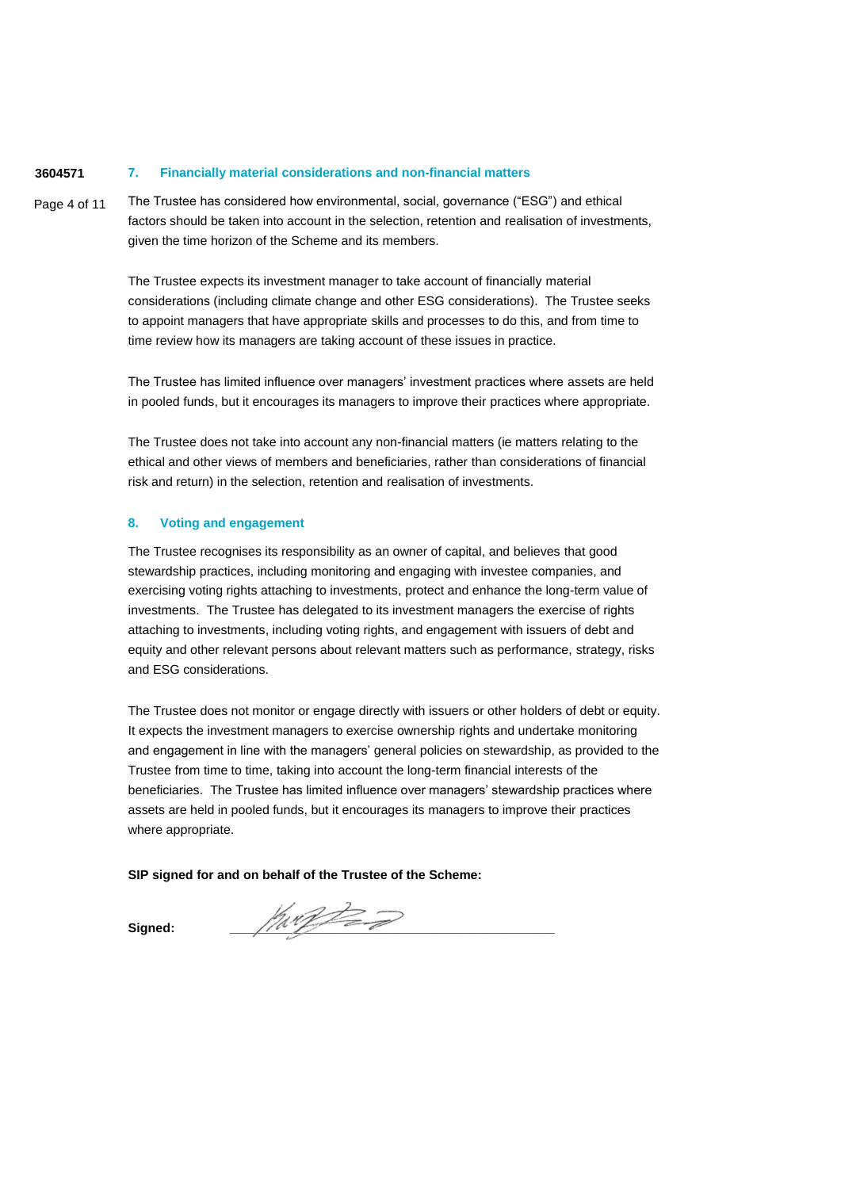#### **3604571 7. Financially material considerations and non-financial matters**

Page 4 of 11 The Trustee has considered how environmental, social, governance ("ESG") and ethical factors should be taken into account in the selection, retention and realisation of investments, given the time horizon of the Scheme and its members.

> The Trustee expects its investment manager to take account of financially material considerations (including climate change and other ESG considerations). The Trustee seeks to appoint managers that have appropriate skills and processes to do this, and from time to time review how its managers are taking account of these issues in practice.

The Trustee has limited influence over managers' investment practices where assets are held in pooled funds, but it encourages its managers to improve their practices where appropriate.

The Trustee does not take into account any non-financial matters (ie matters relating to the ethical and other views of members and beneficiaries, rather than considerations of financial risk and return) in the selection, retention and realisation of investments.

## **8. Voting and engagement**

The Trustee recognises its responsibility as an owner of capital, and believes that good stewardship practices, including monitoring and engaging with investee companies, and exercising voting rights attaching to investments, protect and enhance the long-term value of investments. The Trustee has delegated to its investment managers the exercise of rights attaching to investments, including voting rights, and engagement with issuers of debt and equity and other relevant persons about relevant matters such as performance, strategy, risks and ESG considerations.

The Trustee does not monitor or engage directly with issuers or other holders of debt or equity. It expects the investment managers to exercise ownership rights and undertake monitoring and engagement in line with the managers' general policies on stewardship, as provided to the Trustee from time to time, taking into account the long-term financial interests of the beneficiaries. The Trustee has limited influence over managers' stewardship practices where assets are held in pooled funds, but it encourages its managers to improve their practices where appropriate.

## **SIP signed for and on behalf of the Trustee of the Scheme:**

**Signed: \_\_\_\_\_\_\_\_\_\_\_\_\_\_\_\_\_\_\_\_\_\_\_\_\_\_\_\_\_\_\_\_\_\_\_\_\_\_\_\_\_\_\_\_\_\_**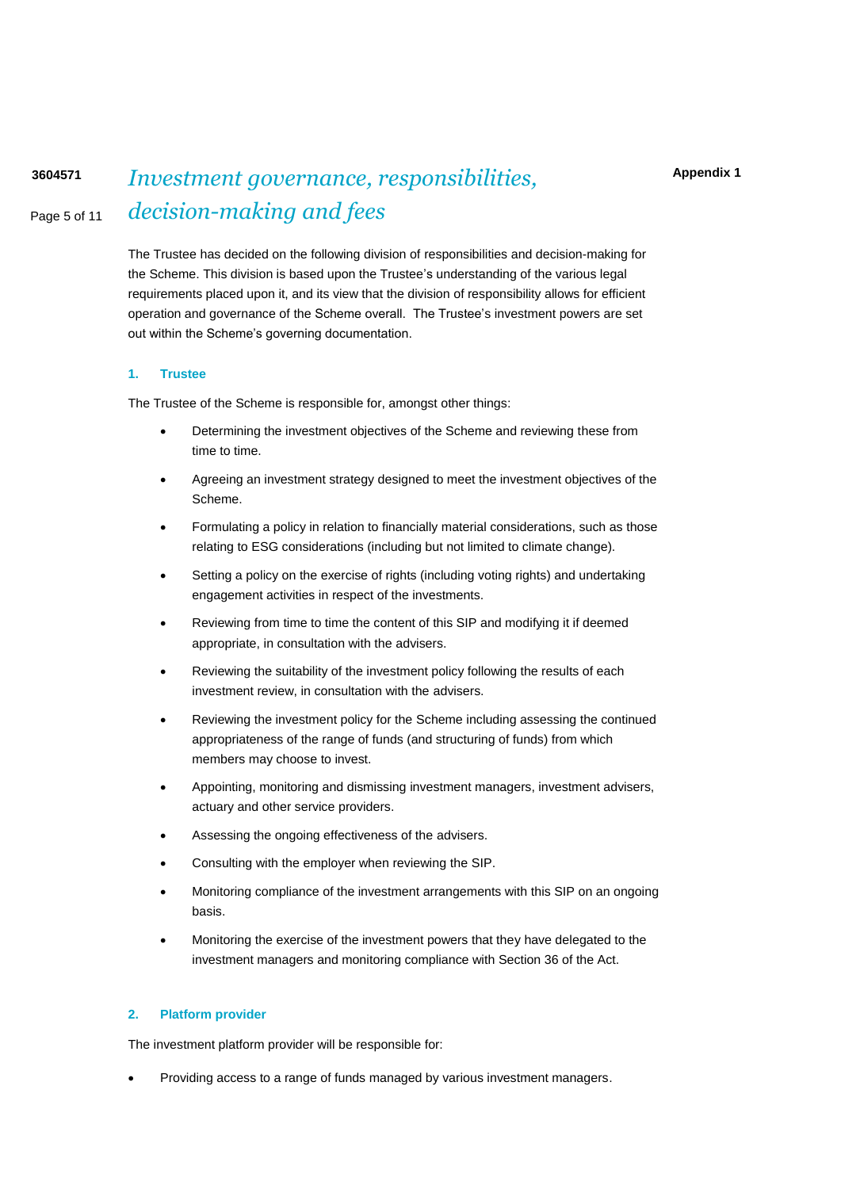## Page 5 of 11 **<sup>3604571</sup>** *Investment governance, responsibilities, decision-making and fees*

The Trustee has decided on the following division of responsibilities and decision-making for the Scheme. This division is based upon the Trustee's understanding of the various legal requirements placed upon it, and its view that the division of responsibility allows for efficient operation and governance of the Scheme overall. The Trustee's investment powers are set out within the Scheme's governing documentation.

#### **1. Trustee**

The Trustee of the Scheme is responsible for, amongst other things:

- Determining the investment objectives of the Scheme and reviewing these from time to time.
- Agreeing an investment strategy designed to meet the investment objectives of the Scheme.
- Formulating a policy in relation to financially material considerations, such as those relating to ESG considerations (including but not limited to climate change).
- Setting a policy on the exercise of rights (including voting rights) and undertaking engagement activities in respect of the investments.
- Reviewing from time to time the content of this SIP and modifying it if deemed appropriate, in consultation with the advisers.
- Reviewing the suitability of the investment policy following the results of each investment review, in consultation with the advisers.
- Reviewing the investment policy for the Scheme including assessing the continued appropriateness of the range of funds (and structuring of funds) from which members may choose to invest.
- Appointing, monitoring and dismissing investment managers, investment advisers, actuary and other service providers.
- Assessing the ongoing effectiveness of the advisers.
- Consulting with the employer when reviewing the SIP.
- Monitoring compliance of the investment arrangements with this SIP on an ongoing basis.
- Monitoring the exercise of the investment powers that they have delegated to the investment managers and monitoring compliance with Section 36 of the Act.

### **2. Platform provider**

The investment platform provider will be responsible for:

• Providing access to a range of funds managed by various investment managers.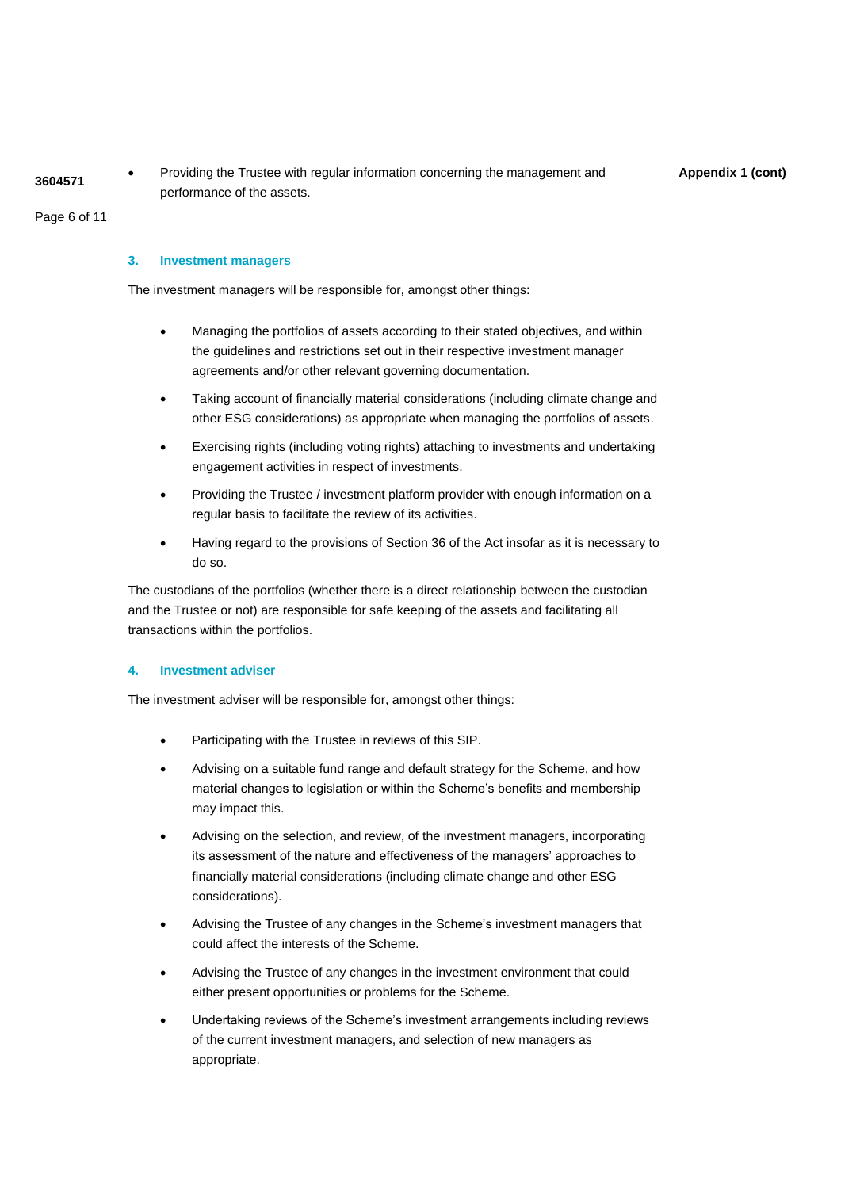**4** Providing the Trustee with regular information concerning the management and **Appendix 1 (cont)**<br>3604571 performance of the assets.

Page 6 of 11

#### **3. Investment managers**

The investment managers will be responsible for, amongst other things:

- Managing the portfolios of assets according to their stated objectives, and within the guidelines and restrictions set out in their respective investment manager agreements and/or other relevant governing documentation.
- Taking account of financially material considerations (including climate change and other ESG considerations) as appropriate when managing the portfolios of assets.
- Exercising rights (including voting rights) attaching to investments and undertaking engagement activities in respect of investments.
- Providing the Trustee / investment platform provider with enough information on a regular basis to facilitate the review of its activities.
- Having regard to the provisions of Section 36 of the Act insofar as it is necessary to do so.

The custodians of the portfolios (whether there is a direct relationship between the custodian and the Trustee or not) are responsible for safe keeping of the assets and facilitating all transactions within the portfolios.

#### **4. Investment adviser**

The investment adviser will be responsible for, amongst other things:

- Participating with the Trustee in reviews of this SIP.
- Advising on a suitable fund range and default strategy for the Scheme, and how material changes to legislation or within the Scheme's benefits and membership may impact this.
- Advising on the selection, and review, of the investment managers, incorporating its assessment of the nature and effectiveness of the managers' approaches to financially material considerations (including climate change and other ESG considerations).
- Advising the Trustee of any changes in the Scheme's investment managers that could affect the interests of the Scheme.
- Advising the Trustee of any changes in the investment environment that could either present opportunities or problems for the Scheme.
- Undertaking reviews of the Scheme's investment arrangements including reviews of the current investment managers, and selection of new managers as appropriate.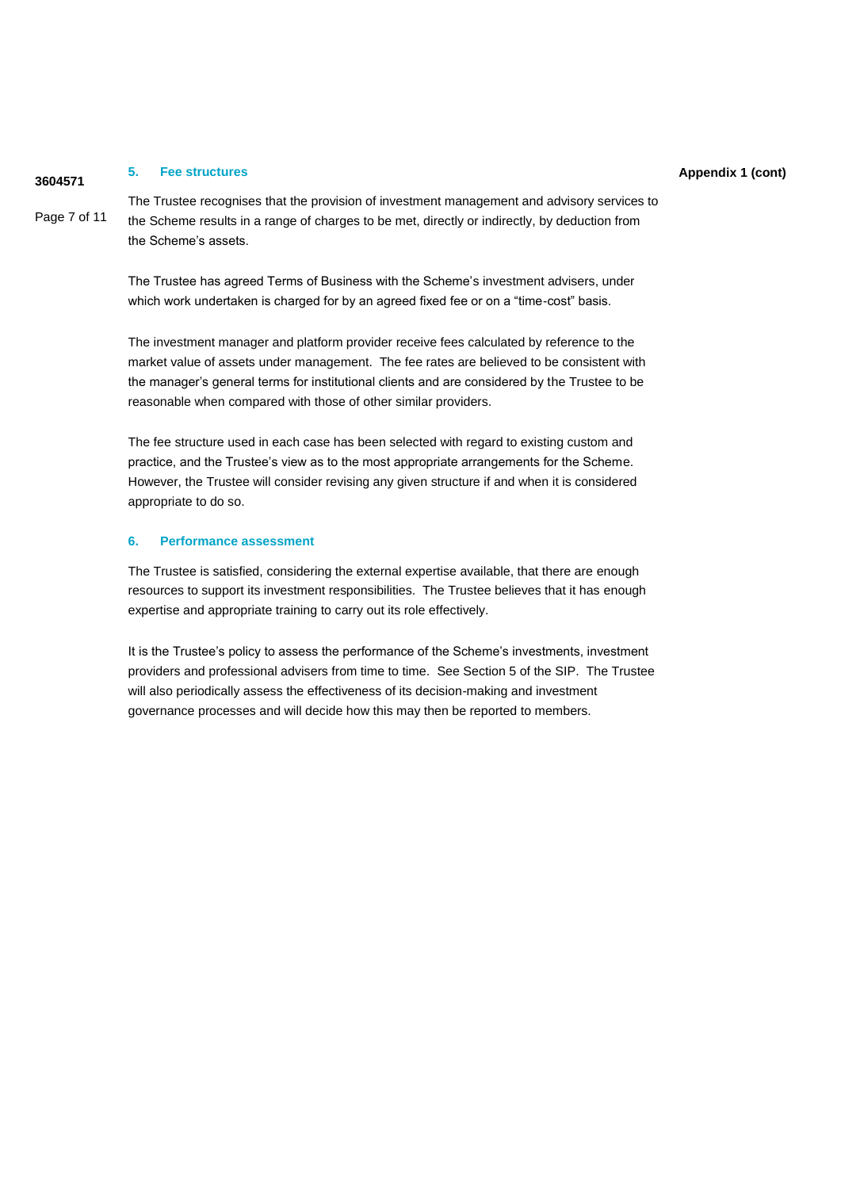#### **Appendix 1 (cont) <sup>3604571</sup> 5. Fee structures**

Page 7 of 11 The Trustee recognises that the provision of investment management and advisory services to the Scheme results in a range of charges to be met, directly or indirectly, by deduction from the Scheme's assets.

> The Trustee has agreed Terms of Business with the Scheme's investment advisers, under which work undertaken is charged for by an agreed fixed fee or on a "time-cost" basis.

The investment manager and platform provider receive fees calculated by reference to the market value of assets under management. The fee rates are believed to be consistent with the manager's general terms for institutional clients and are considered by the Trustee to be reasonable when compared with those of other similar providers.

The fee structure used in each case has been selected with regard to existing custom and practice, and the Trustee's view as to the most appropriate arrangements for the Scheme. However, the Trustee will consider revising any given structure if and when it is considered appropriate to do so.

#### **6. Performance assessment**

The Trustee is satisfied, considering the external expertise available, that there are enough resources to support its investment responsibilities. The Trustee believes that it has enough expertise and appropriate training to carry out its role effectively.

It is the Trustee's policy to assess the performance of the Scheme's investments, investment providers and professional advisers from time to time. See Section 5 of the SIP. The Trustee will also periodically assess the effectiveness of its decision-making and investment governance processes and will decide how this may then be reported to members.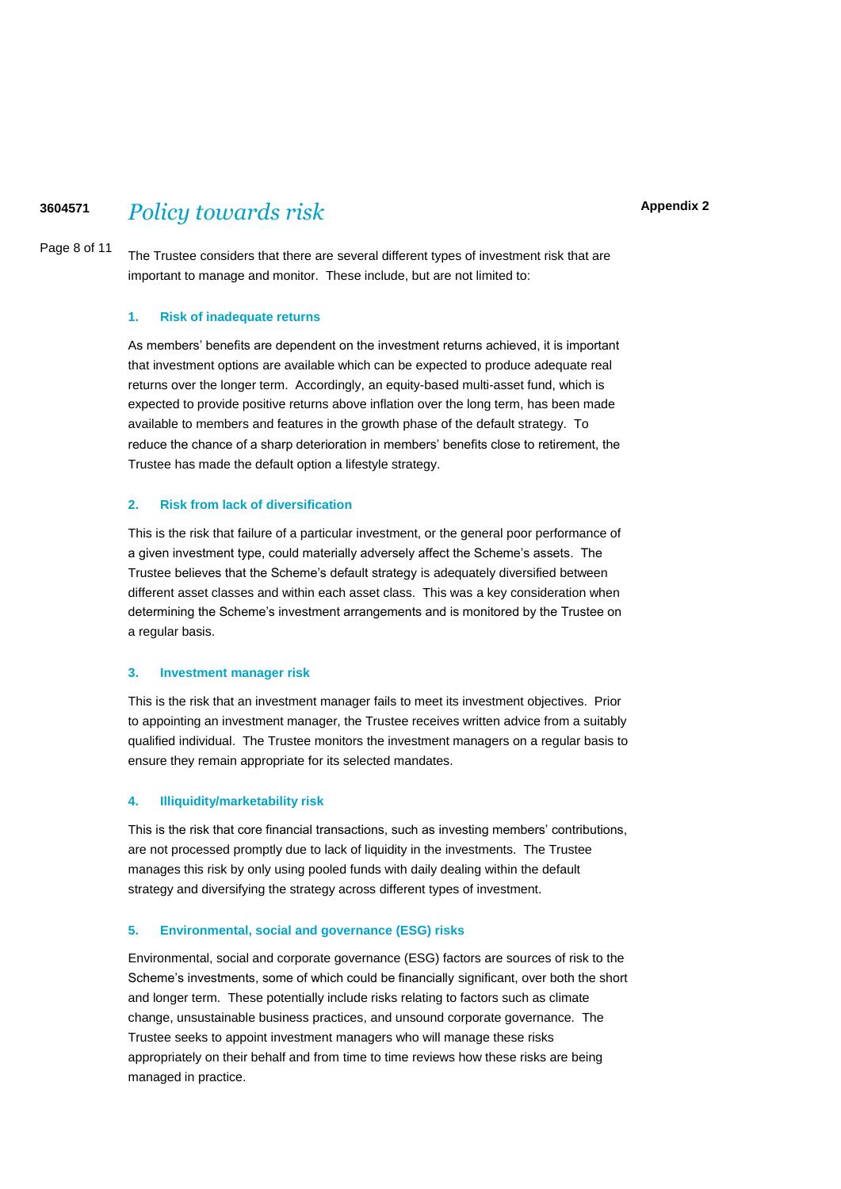# **<sup>3604571</sup>** *Policy towards risk*

**Appendix 2**

Page 8 of 11 The Trustee considers that there are several different types of investment risk that are important to manage and monitor. These include, but are not limited to:

#### **1. Risk of inadequate returns**

As members' benefits are dependent on the investment returns achieved, it is important that investment options are available which can be expected to produce adequate real returns over the longer term. Accordingly, an equity-based multi-asset fund, which is expected to provide positive returns above inflation over the long term, has been made available to members and features in the growth phase of the default strategy. To reduce the chance of a sharp deterioration in members' benefits close to retirement, the Trustee has made the default option a lifestyle strategy.

### **2. Risk from lack of diversification**

This is the risk that failure of a particular investment, or the general poor performance of a given investment type, could materially adversely affect the Scheme's assets. The Trustee believes that the Scheme's default strategy is adequately diversified between different asset classes and within each asset class. This was a key consideration when determining the Scheme's investment arrangements and is monitored by the Trustee on a regular basis.

#### **3. Investment manager risk**

This is the risk that an investment manager fails to meet its investment objectives. Prior to appointing an investment manager, the Trustee receives written advice from a suitably qualified individual. The Trustee monitors the investment managers on a regular basis to ensure they remain appropriate for its selected mandates.

#### **4. Illiquidity/marketability risk**

This is the risk that core financial transactions, such as investing members' contributions, are not processed promptly due to lack of liquidity in the investments. The Trustee manages this risk by only using pooled funds with daily dealing within the default strategy and diversifying the strategy across different types of investment.

#### **5. Environmental, social and governance (ESG) risks**

Environmental, social and corporate governance (ESG) factors are sources of risk to the Scheme's investments, some of which could be financially significant, over both the short and longer term. These potentially include risks relating to factors such as climate change, unsustainable business practices, and unsound corporate governance. The Trustee seeks to appoint investment managers who will manage these risks appropriately on their behalf and from time to time reviews how these risks are being managed in practice.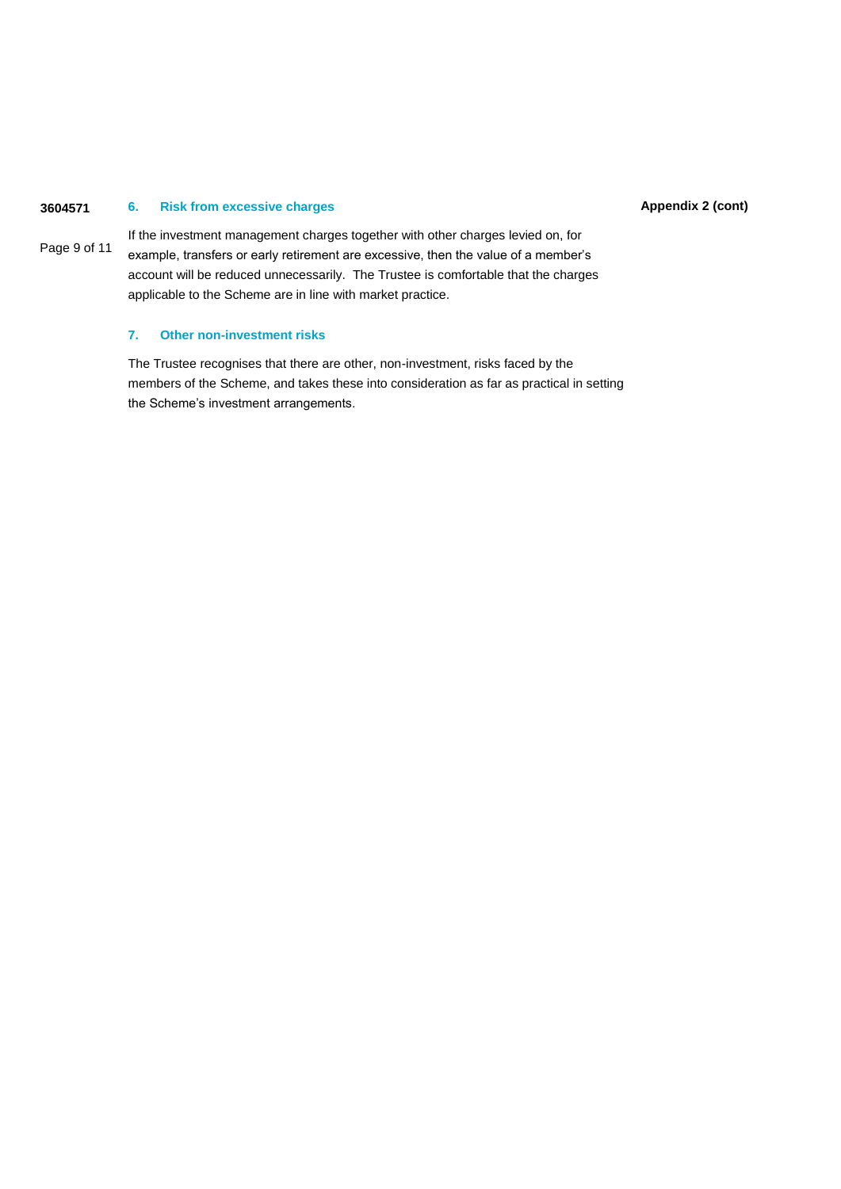#### **3604571 Appendix 2 (cont) 6. Risk from excessive charges**

Page 9 of 11 If the investment management charges together with other charges levied on, for example, transfers or early retirement are excessive, then the value of a member's account will be reduced unnecessarily. The Trustee is comfortable that the charges applicable to the Scheme are in line with market practice.

## **7. Other non-investment risks**

The Trustee recognises that there are other, non-investment, risks faced by the members of the Scheme, and takes these into consideration as far as practical in setting the Scheme's investment arrangements.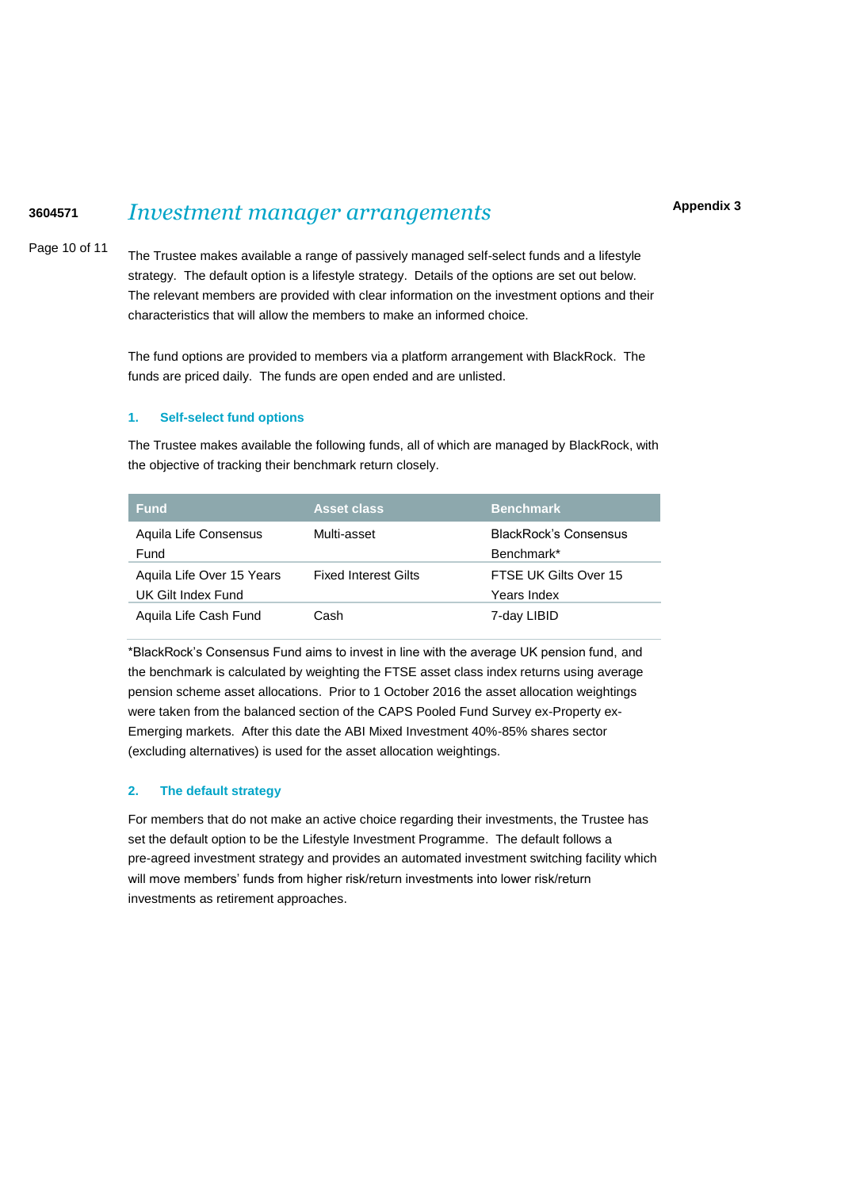# **<sup>3604571</sup>** *Investment manager arrangements*

**Appendix 3**

Page 10 of 11

The Trustee makes available a range of passively managed self-select funds and a lifestyle strategy. The default option is a lifestyle strategy. Details of the options are set out below. The relevant members are provided with clear information on the investment options and their characteristics that will allow the members to make an informed choice.

The fund options are provided to members via a platform arrangement with BlackRock. The funds are priced daily. The funds are open ended and are unlisted.

#### **1. Self-select fund options**

The Trustee makes available the following funds, all of which are managed by BlackRock, with the objective of tracking their benchmark return closely.

| <b>Fund</b>                                     | <b>Asset class</b>          | <b>Benchmark</b>                           |
|-------------------------------------------------|-----------------------------|--------------------------------------------|
| Aquila Life Consensus<br>Fund                   | Multi-asset                 | <b>BlackRock's Consensus</b><br>Benchmark* |
| Aquila Life Over 15 Years<br>UK Gilt Index Fund | <b>Fixed Interest Gilts</b> | FTSE UK Gilts Over 15<br>Years Index       |
| Aguila Life Cash Fund                           | Cash                        | 7-day LIBID                                |

\*BlackRock's Consensus Fund aims to invest in line with the average UK pension fund, and the benchmark is calculated by weighting the FTSE asset class index returns using average pension scheme asset allocations. Prior to 1 October 2016 the asset allocation weightings were taken from the balanced section of the CAPS Pooled Fund Survey ex-Property ex-Emerging markets. After this date the ABI Mixed Investment 40%-85% shares sector (excluding alternatives) is used for the asset allocation weightings.

#### **2. The default strategy**

For members that do not make an active choice regarding their investments, the Trustee has set the default option to be the Lifestyle Investment Programme. The default follows a pre-agreed investment strategy and provides an automated investment switching facility which will move members' funds from higher risk/return investments into lower risk/return investments as retirement approaches.